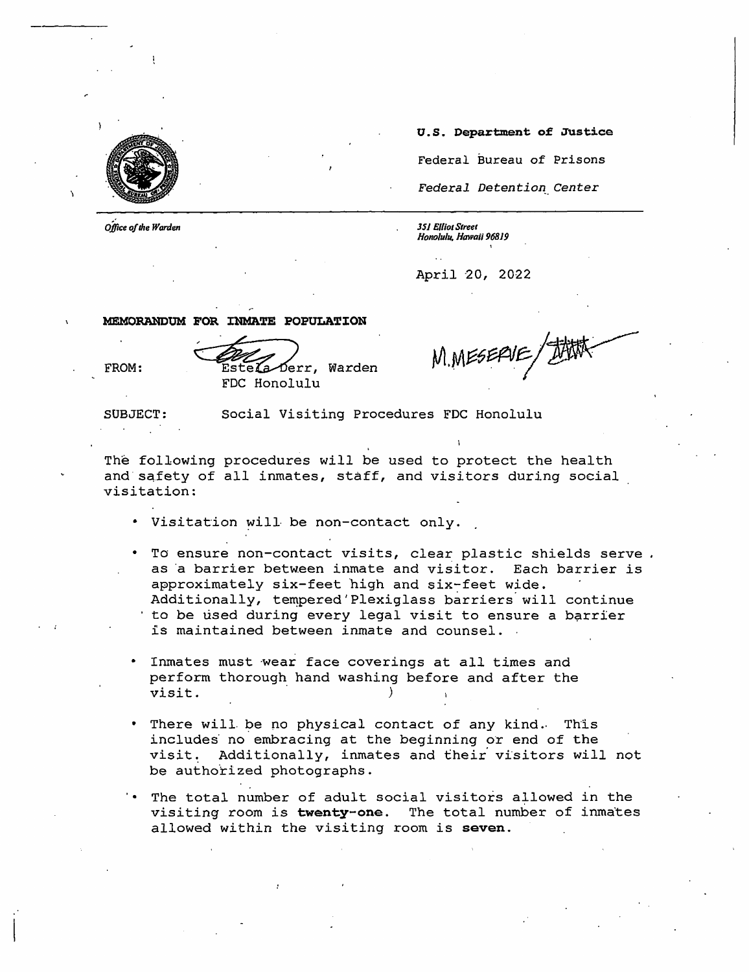

*Office of the Warden* 

**U.S. Department of Justice**  Federal Bureau of Prisons Federal Detention Center

*JSJ Elliot Street Honolulu, Hawaii 96819* 

April 20, 2022

**MEMORANDUM FOR INMATE POPULATION**<br>FROM: Estela Derr, Warden<br>FDC Honolulu

FDC Honolulu

M.MESERVE

SUBJECT: Social Visiting Procedures FDC Honolulu

The following procedures will be used to protect the health and safety of all inmates, staff, and visitors during social visitation:

- Visitation will be non-contact only.
- To ensure non-contact visits, clear plastic shields serve. as a barrier between inmate and visitor. Each barrier is approximately six-feet high and six-feet wide. Additionally, tempered 'Plexiglass barriers will continue to be used during every legal visit to ensure a barrier is maintained between inmate and counsel.
- Inmates must wear face coverings at all times and perform thorough hand washing before and after the portorm enorough hand wabhing<br>visit.
- There will be no physical contact of any kind. This includes no embracing at the beginning or end of the visit. Additionally, inmates and their visitors will not be authorized photographs.
- The total number of adult social visitors atlowed in the visiting room is **twenty-one.** The total number of inmates allowed within the visiting room is **seven.**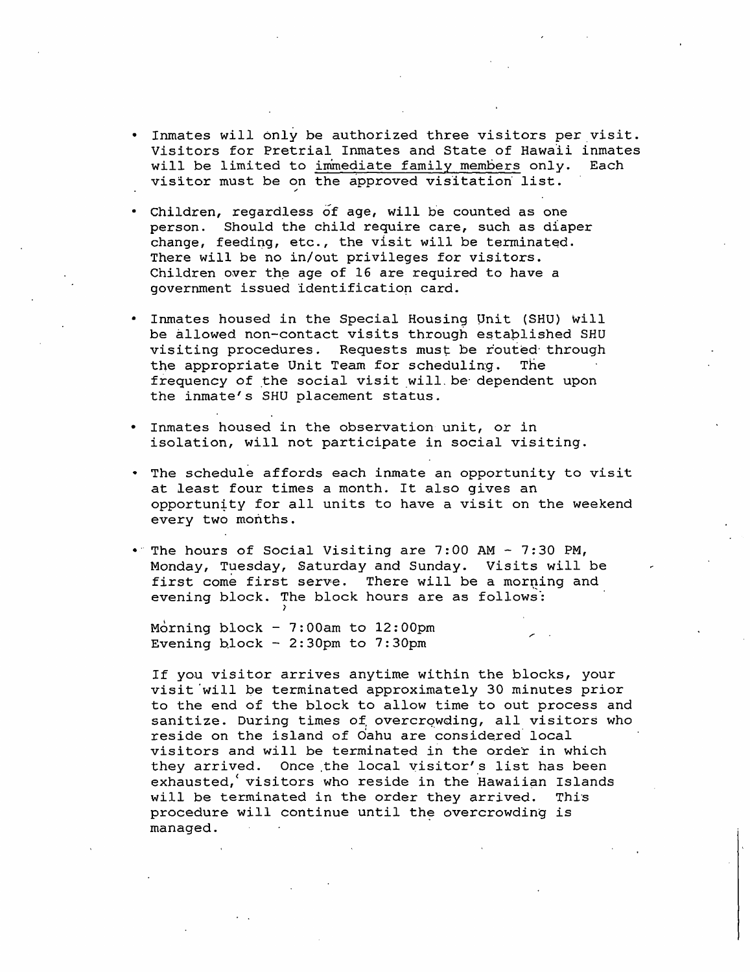- Inmates will only be authorized three visitors per visit. Visitors for Pretrial Inmates and State of Hawaii inmates<br>will be limited to immediate family members only. Each will be limited to immediate family members only. visitor must be on the approved visitation list.
- Children, regardless of age, will be counted as one person. Should the child require care, such as diaper change, feeding, etc., the visit will be terminated. There will be no in/out privileges for visitors. Children over the age of 16 are required to have a government issued identificatiop card.
- Inmates housed in the Special Housing Onit (SHU) will be allowed non-contact visits through estaplished SHU visiting procedures. Requests must be routed through the appropriate Unit Team for scheduling. The frequency of the social visit will. be dependent upon the inmate's SHU placement status.
- Inmates housed in the observation unit, or in isolation, will not participate in social visiting.
- The schedule affords each inmate an opportunity to visit at least four times a month. It also gives an opportuntty for all units to have a visit on the weekend every two months.
- •· The hours of Social Visiting are 7:00 AM 7:30 PM, Monday, Tuesday, Saturday and Sunday. Visits will be first come first serve. There will be a morning and evening block. The block hours are as follows:

<sup>'</sup>. Morning block - 7:00am to 12:00pm Evening block -  $2:30$ pm to  $7:30$ pm

If you visitor arrives anytime within the blocks, your visit will be terminated approximately 30 minutes prior to the end of the block to allow time to out process and sanitize. During times of overcrowding, all visitors who reside on the island of Oahu are considered local visitors and will be terminated in the order in which they arrived. Once the local visitor's list has been  $e$ xhausted, visitors who reside in the Hawaiian Islands will be terminated in the order they arrived. This procedure will continue until the overcrowding is managed.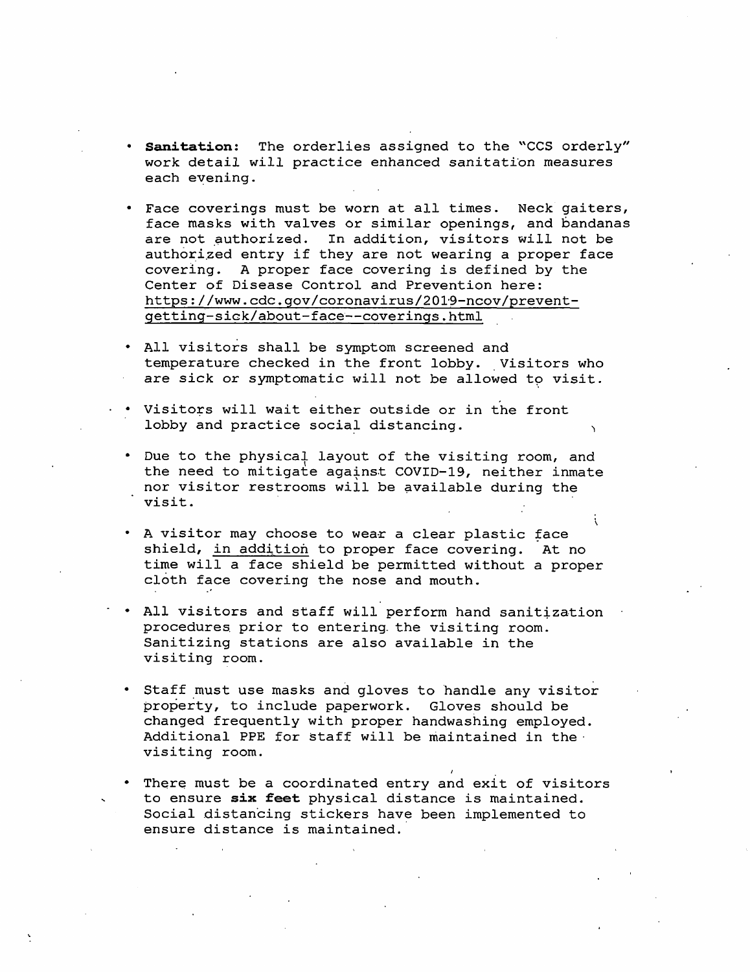- **Sanitation:** The orderlies assigned to the "CCS orderly" work detail will practice enhanced sanitation measures each eyening.
- Face coverings must be worn at all times. Neck gaiters, face masks with valves or similar openings, and bandanas are not authorized. In addition, visitors will not be In addition, visitors will not be authorized entry if they are not wearing a proper face covering. A proper face covering is defined by the Center of Disease Control and Prevention here: https://www.cdc.gov/coronavirus/2019-ncov/preventgetting-sick/about-face~-coverings. html .
- All visitors shall be symptom screened and temperature checked in the front lobby. Visitors who are sick or symptomatic will not be allowed to visit.
- Visitors will wait either outside or in the front lobby and practice social distancing.
- Due to the physical layout of the visiting room, and<br>the need to mitigate against COVID-19, neither inmate nor visitor restrooms will be available during the visit.
- . A visitor may choose to wear a clear plastic face shield, in addition to proper face covering. At no time will a face shield be permitted without a proper cloth face covering the nose and mouth.
- All visitors and staff will perform hand sanitization procedures prior to entering the visiting room. Sanitizing stations are also available in the visiting room.
- Staff must use masks and gloves to handle any visitor property, to include paperwork. Gloves should be changed frequently with proper handwashing employed. Additional PPE for staff will be maintained in the· visiting room.
- There must be a coordinated entry and exit of visitors to ensure **six feet** physical distance is maintained. Social distancing stickers have been implemented to ensure distance is maintained.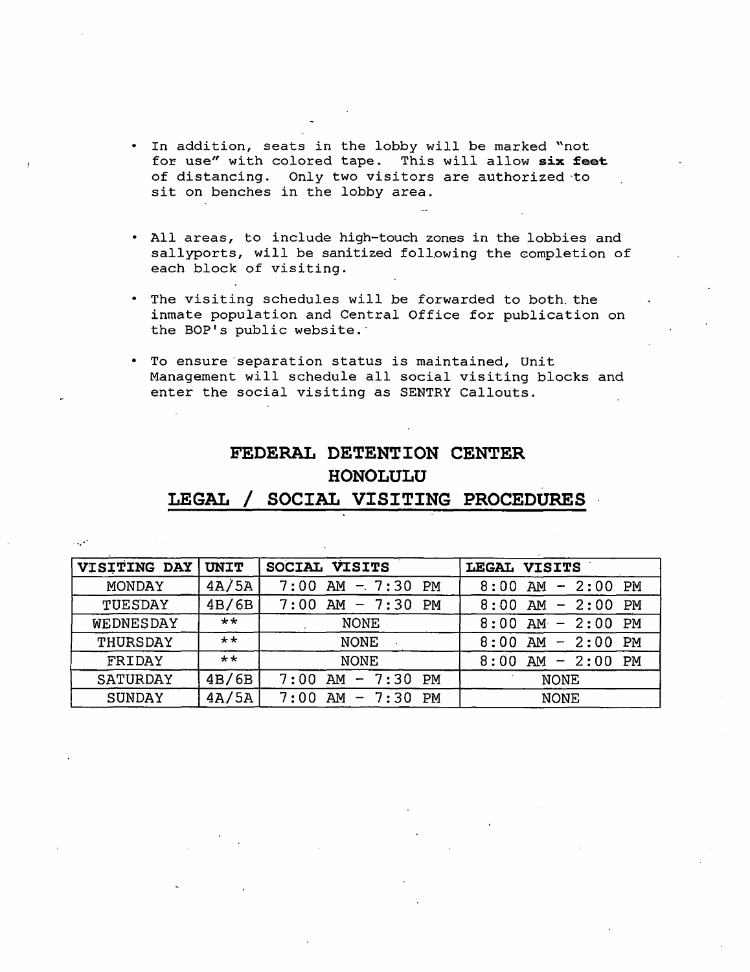- In addition, seats in the lobby will be marked "not for use" with colored tape. This will allow six feet of distancing. Only two visitors are authorized ·to sit on benches in the lobby area.
- All areas, to include high-touch zones in the lobbies and sallyports, will be sanitized following the completion of each block of visiting.
- The visiting schedules will be forwarded to both. the inmate population and Central Office for publication on the BOP's public website.
- To ensure·separation status is maintained, Unit Management will schedule all social visiting blocks and enter the social visiting as SENTRY Callouts.

## **FEDERAL DETENTION CENTER HONOLULU**

## **LEGAL/ SOCIAL VISITING PROCEDURES**

| VISITING DAY  | UNIT         | SOCIAL VISITS                    | LEGAL VISITS                     |
|---------------|--------------|----------------------------------|----------------------------------|
| MONDAY        | 4A/5A        | $7:00$ AM $-7:30$<br><b>PM</b>   | $8:00$ AM - 2:00<br>PM           |
| TUESDAY       | 4B/6B        | $AM - 7:30$<br>7:00<br><b>PM</b> | $8:00$ AM - 2:00<br>PM           |
| WEDNESDAY     | $***$        | <b>NONE</b>                      | $8:00$ AM - 2:00<br>PM           |
| THURSDAY      | $\star\star$ | <b>NONE</b>                      | $AM - 2:00$<br>8:00<br><b>PM</b> |
| FRIDAY        | $**$         | <b>NONE</b>                      | $8:00$ AM - 2:00<br>PM           |
| SATURDAY      | 4B/6B        | $-7:30$<br>AM<br>PM<br>7:00      | <b>NONE</b>                      |
| <b>SUNDAY</b> | 4A/5A        | $AM - 7:30$<br>7:00<br>PМ        | <b>NONE</b>                      |